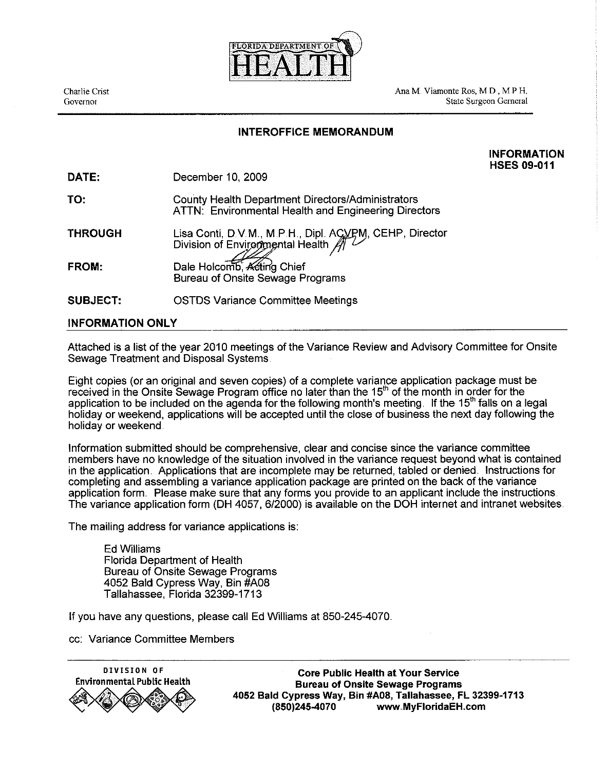

Ana M Viamonte Ros, M D , M P H. State Surgeon Gerneral

## INTEROFFICE MEMORANDUM

INFORMATION HSES **09-01 1** 

|  | <b>DATE:</b> |  | December 10, 2009 |  |
|--|--------------|--|-------------------|--|
|--|--------------|--|-------------------|--|

| TO: | County Health Department Directors/Administrators    |
|-----|------------------------------------------------------|
|     | ATTN: Environmental Health and Engineering Directors |

**THROUGH** Lisa Conti, D.V.M., M.P.H., Dipl. ACVPM, CEHP, Director<br>Division of Environmental Health  $\iiint$ Dale Holcomb, Acting Chief FROM:

Bureau of Onsite Sewage Programs

SUBJECT: OSTDS Variance Committee Meetings

## INFORMATION ONLY

Attached is a list of the year 2010 meetings of the Variance Review and Advisory Committee for Onsite Sewage Treatment and Disposal Systems

Eight copies (or an original and seven copies) of a complete variance application package must be received in the Onsite Sewage Program office no later than the 15<sup>th</sup> of the month in order for the application to be included on the agenda for the following month's meeting. If the 15<sup>th</sup> falls on a legal holiday or weekend, applications will be accepted until the close of business the next day following the holiday or weekend

Information submitted should be comprehensive, clear and concise since the variance committee members have no knowledge of the situation involved in the variance request beyond what is contained in the application. Applications that are incomplete may be returned, tabled or denied. Instructions for completing and assembling a variance application package are printed on the back of the variance application form Please make sure that any forms you provide to an applicant include the instructions The variance application form (DH 4057, 612000) is available on the DOH internet and intranet websites

The mailing address for variance applications is:

Ed Williams Florida Department of Health Bureau of Onsite Sewage Programs 4052 Bald Cypress Way, Bin #A08 Tallahassee, Florida 32399-1713

If you have any questions, please call Ed Williams at 850-245-4070

cc: Variance Committee Members



**DIVISION OF Core Public Health at Your Sewice Environmental Public Health Bureau of Onsite Sewage Programs 4052 Bald Cypress Way, Bin #A08, Tallahassee,** FL **32399-1713 (850)245-4070 www .MyFloridaEH .corn**